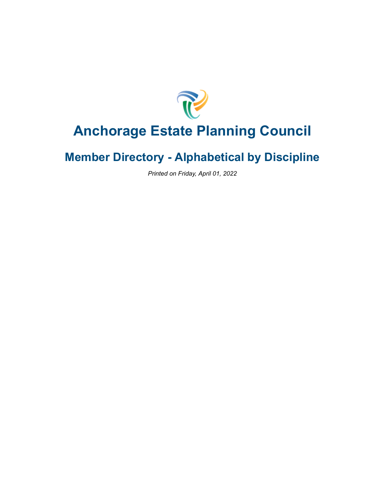

# **Anchorage Estate Planning Council**

### **Member Directory - Alphabetical by Discipline**

*Printed on Friday, April 01, 2022*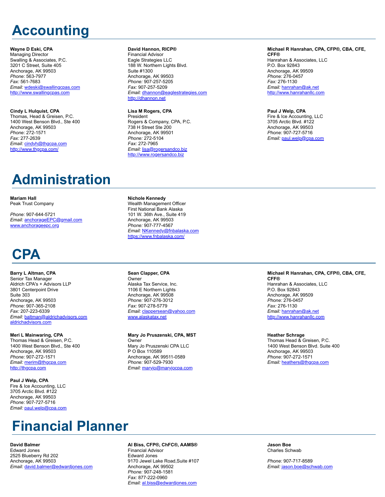# **Accounting**

#### **Wayne D Eski, CPA**

Managing Director Swalling & Associates, P.C. 3201 C Street, Suite 405 Anchorage, AK 99503 *Phone:* 563-7977 *Fax:* 561-7683 *Email:* [wdeski@swallingcpas.com](mailto:wdeski@swallingcpas.com) [http://www.swallingcpas.com](http://www.swallingcpas.com/)

#### **Cindy L Hulquist, CPA**

Thomas, Head & Greisen, P.C. 1400 West Benson Blvd., Ste 400 Anchorage, AK 99503 *Phone:* 272-1571 *Fax:* 277-2639 *Email:* [cindyh@thgcpa.com](mailto:cindyh@thgcpa.com) <http://www.thgcpa.com/>

#### **David Hannon, RICP®**

Financial Advisor Eagle Strategies LLC 188 W. Northern Lights Blvd. Suite #1300 Anchorage, AK 99503 *Phone:* 907-257-5205 *Fax:* 907-257-5209 *Email:* [dhannon@eaglestrategies.com](mailto:dhannon@eaglestrategies.com) [http://dhannon.net](http://dhannon.net/)

#### **Lisa M Rogers, CPA**

President Rogers & Company, CPA, P.C. 738 H Street Ste 200 Anchorage, AK 99501 *Phone:* 272-5104 *Fax:* 272-7965 *Email:* [lisa@rogersandco.biz](mailto:lisa@rogersandco.biz) [http://www.rogersandco.biz](http://www.rogersandco.biz/)

#### **Michael R Hanrahan, CPA, CFP®, CBA, CFE, CFF®**

Hanrahan & Associates, LLC P.O. Box 92843 Anchorage, AK 99509 *Phone:* 276-0457 *Fax:* 276-1130 *Email:* [hanrahan@ak.net](mailto:hanrahan@ak.net) [http://www.hanrahanllc.com](http://www.hanrahanllc.com/)

#### **Paul J Welp, CPA**

Fire & Ice Accounting, LLC 3705 Arctic Blvd. #122 Anchorage, AK 99503 *Phone:* 907-727-5716 *Email:* [paul.welp@cpa.com](mailto:paul.welp@cpa.com)

# **Administration**

**Mariam Hall** Peak Trust Company

*Phone:* 907-644-5721 *Email:* [anchorageEPC@gmail.com](mailto:anchorageEPC@gmail.com) [www.anchorageepc.org](https://www.anchorageepc.org/members/directory-print/3/nophotos/www.anchorageepc.org)

## **CPA**

#### **Barry L Altman, CPA**

Senior Tax Manager Aldrich CPA's + Advisors LLP 3801 Centerpoint Drive Suite 303 Anchorage, AK 99503 *Phone:* 907-365-2108 *Fax:* 207-223-6339 *Email:* [baltman@aldrichadvisors.com](mailto:baltman@aldrichadvisors.com) [aldrichadvisors.com](https://www.anchorageepc.org/members/directory-print/3/nophotos/aldrichadvisors.com)

**Meri L Mainwaring, CPA** Thomas Head & Greisen, P.C. 1400 West Benson Blvd., Ste 400 Anchorage, AK 99503 *Phone:* 907-272-1571 *Email:* [merim@thgcpa.com](mailto:merim@thgcpa.com) [http://thgcpa.com](http://thgcpa.com/)

**Paul J Welp, CPA** Fire & Ice Accounting, LLC 3705 Arctic Blvd. #122 Anchorage, AK 99503 *Phone:* 907-727-5716 *Email:* [paul.welp@cpa.com](mailto:paul.welp@cpa.com)

## **Financial Planner**

**David Balmer** Edward Jones 2525 Blueberry Rd 202 Anchorage, AK 99503 *Email:* [david.balmer@edwardjones.com](mailto:david.balmer@edwardjones.com)

#### Wealth Management Officer First National Bank Alaska

**Nichole Kennedy**

101 W. 36th Ave., Suite 419 Anchorage, AK 99503 *Phone:* 907-777-4567 *Email:* [NKennedy@fnbalaska.com](mailto:NKennedy@fnbalaska.com) <https://www.fnbalaska.com/>

**Sean Clapper, CPA** Owner Alaska Tax Service, Inc. 1106 E Northern Lights Anchorage, AK 99508 *Phone:* 907-276-3012

*Fax:* 907-278-5779 *Email:* [clappersean@yahoo.com](mailto:clappersean@yahoo.com) [www.alaskatax.net](https://www.anchorageepc.org/members/directory-print/3/nophotos/www.alaskatax.net)

**Mary Jo Pruszenski, CPA, MST** Owner Mary Jo Pruszenski CPA LLC P O Box 110589 Anchorage, AK 99511-0589 *Phone:* 907-529-7930 *Email:* [maryjo@maryjocpa.com](mailto:maryjo@maryjocpa.com)

#### **Michael R Hanrahan, CPA, CFP®, CBA, CFE, CFF®** Hanrahan & Associates, LLC

P.O. Box 92843 Anchorage, AK 99509 *Phone:* 276-0457 *Fax:* 276-1130 *Email:* [hanrahan@ak.net](mailto:hanrahan@ak.net) [http://www.hanrahanllc.com](http://www.hanrahanllc.com/)

**Heather Schrage** Thomas Head & Greisen, P.C. 1400 West Benson Blvd. Suite 400 Anchorage, AK 99503 *Phone:* 907-272-1571 *Email:* [heathers@thgcpa.com](mailto:heathers@thgcpa.com)

**Al Biss, CFP®, ChFC®, AAMS®** Financial Advisor Edward Jones 9170 Jewel Lake Road,Suite #107 Anchorage, AK 99502 *Phone:* 907-248-1581 *Fax:* 877-222-0960 *Email:* [al.biss@edwardjones.com](mailto:al.biss@edwardjones.com)

**Jason Boe** Charles Schwab

*Phone:* 907-717-8589 *Email:* [jason.boe@schwab.com](mailto:jason.boe@schwab.com)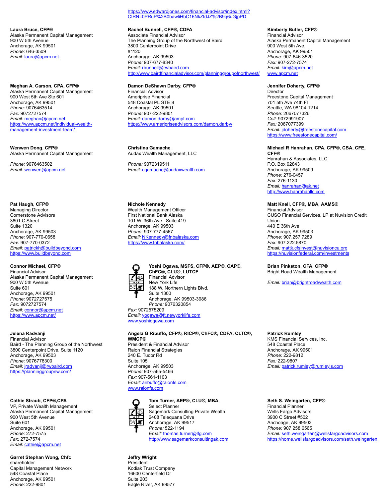**Laura Bruce, CFP®** Alaska Permanent Capital Management 900 W 5th Avenue Anchorage, AK 99501 *Phone:* 646-3509 *Email:* [laura@apcm.net](mailto:laura@apcm.net)

**Meghan A. Carson, CPA, CFP®** Alaska Permanent Capital Management 900 West 5th Ave Ste 601 Anchorage, AK 99501 *Phone:* 9076463514 *Fax:* 9072727574 *Email:* [meghan@apcm.net](mailto:meghan@apcm.net) [https://www.apcm.net/individual-wealth](https://www.apcm.net/individual-wealth-management-investment-team/)management-investment-team/

**Wenwen Dong, CFP®** Alaska Permanent Capital Management

*Phone:* 9076463502 *Email:* [wenwen@apcm.net](mailto:wenwen@apcm.net)

#### **Pat Haugh, CFP®**

Managing Director Cornerstone Advisors 3601 C Street Suite 1320 Anchorage, AK 99503 *Phone:* 907-770-0658 *Fax:* 907-770-0372 *Email:* [patrickh@buildbeyond.com](mailto:patrickh@buildbeyond.com) [https://www.buildbeyond.com](https://www.buildbeyond.com/)

#### **Connor Michael, CFP®**

Financial Advisor Alaska Permanent Capital Management 900 W 5th Avenue Suite 601 Anchorage, AK 99501 *Phone:* 9072727575 *Fax:* 9072727574 *Email:* [connor@apcm.net](mailto:connor@apcm.net) <https://www.apcm.net/>

#### **Jelena Radvanji**

Financial Advisor Baird - The Planning Group of the Northwest 3800 Centerpoint Drive, Suite 1120 Anchorage, AK 99503 *Phone:* 9076778300 *Email:* [jradvanji@rwbaird.com](mailto:jradvanji@rwbaird.com) <https://planninggroupnw.com/>

#### **Cathie Straub, CFP®,CPA**

VP, Private Wealth Management Alaska Permanent Capital Management 900 West 5th Avenue Suite 601 Anchorage, AK 99501 *Phone:* 272-7575 *Fax:* 272-7574 *Email:* [cathie@apcm.net](mailto:cathie@apcm.net)

**Garret Stephan Wong, Chfc** shareholder Capital Management Network 548 Coastal Place Anchorage, AK 99501 *Phone:* 222-9801

[https://www.edwardjones.com/financial-advisor/index.html?](https://www.edwardjones.com/financial-advisor/index.html?CIRN=0PRuP%2B0bawliHbC16NkZfdJZ%2B9q6uGjpPD) CIRN=0PRuP%2B0bawliHbC16NkZfdJZ%2B9q6uGjpPD

**Rachel Bunnell, CFP®, CDFA** Associate Financial Advisor The Planning Group of the Northwest of Baird 3800 Centerpoint Drive #1120 Anchorage, AK 99503 *Phone:* 907-677-8340 *Email:* [rbunnell@rwbaird.com](mailto:rbunnell@rwbaird.com) <http://www.bairdfinancialadvisor.com/planninggroupofnorthwest/>

#### **Damon DeShawn Darby, CFP®**

Financial Advisor Ameriprise Financial 548 Coastal PL STE 8 Anchorage, AK 99501 *Phone:* 907-222-9801 *Email:* [damon.darby@ampf.com](mailto:damon.darby@ampf.com) <https://www.ameripriseadvisors.com/damon.darby/>

**Christina Gamache** Audax Wealth Management, LLC

*Phone:* 9072319511 *Email:* [cgamache@audaxwealth.com](mailto:cgamache@audaxwealth.com)

#### **Nichole Kennedy**

Wealth Management Officer First National Bank Alaska 101 W. 36th Ave., Suite 419 Anchorage, AK 99503 *Phone:* 907-777-4567 *Email:* [NKennedy@fnbalaska.com](mailto:NKennedy@fnbalaska.com) <https://www.fnbalaska.com/>



**Yoshi Ogawa, MSFS, CFP®, AEP®, CAP®, ChFC®, CLU®, LUTCF** Financial Advisor New York Life 188 W. Northern Lights Blvd. Suite 1300 Anchorage, AK 99503-3986 *Phone:* 9076320854

*Fax:* 9072575209 *Email:* [yogawa@ft.newyorklife.com](mailto:yogawa@ft.newyorklife.com) [www.yoshiogawa.com](https://www.anchorageepc.org/members/directory-print/3/nophotos/www.yoshiogawa.com)

**Angela G Ribuffo, CFP®, RICP®, ChFC®, CDFA, CLTC®, WMCP®** President & Financial Advisor Raion Financial Strategies 240 E. Tudor Rd Suite 105 Anchorage, AK 99503 *Phone:* 907-565-5466 *Fax:* 907-561-1103 *Email:* [aribuffo@raionfs.com](mailto:aribuffo@raionfs.com) [www.raionfs.com](https://www.anchorageepc.org/members/directory-print/3/nophotos/www.raionfs.com)



### **Tom Turner, AEP®, CLU®, MBA**

Select Planner Sagemark Consulting Private Wealth 2408 Telequana Drive Anchorage, AK 99517 *Phone:* 522-1194 *Email:* [thomas.turner@lfg.com](mailto:thomas.turner@lfg.com) [http://www.sagemarkconsultingak.com](http://www.sagemarkconsultingak.com/)

#### **Jeffry Wright** President

Kodiak Trust Company 16600 Centerfield Dr Suite 203 Eagle River, AK 99577

**Kimberly Butler, CFP®** Financial Advisor Alaska Permanent Capital Management 900 West 5th Ave. Anchorage, AK 99501 *Phone:* 907-646-3520 *Fax:* 907-272-7574 *Email:* [kim@apcm.net](mailto:kim@apcm.net) [www.apcm.net](https://www.anchorageepc.org/members/directory-print/3/nophotos/www.apcm.net)

#### **Jennifer Doherty, CFP®**

Director Freestone Capital Management 701 5th Ave 74th Fl Seattle, WA 98104-1214 *Phone:* 2067077326 *Cell:* 9072991907 *Fax:* 2067077399 *Email:* [jdoherty@freestonecapital.com](mailto:jdoherty@freestonecapital.com) <https://www.freestonecapital.com/>

### **Michael R Hanrahan, CPA, CFP®, CBA, CFE,**

**CFF®** Hanrahan & Associates, LLC P.O. Box 92843 Anchorage, AK 99509 *Phone:* 276-0457 *Fax:* 276-1130 *Email:* [hanrahan@ak.net](mailto:hanrahan@ak.net) [http://www.hanrahanllc.com](http://www.hanrahanllc.com/)

#### **Matt Knell, CFP®, MBA, AAMS®**

Financial Advisor CUSO Financial Services, LP at Nuvision Credit Union 440 E 36th Ave Anchorage, AK 99503 *Phone:* 907.257.7289 *Fax:* 907.222.5870 *Email:* [mattk.cfsinvest@nuvisioncu.org](mailto:mattk.cfsinvest@nuvisioncu.org) <https://nuvisionfederal.com/investments>

**Brian Pinkston, CFA, CFP®** Bright Road Wealth Management

*Email:* [brian@brightroadwealth.com](mailto:brian@brightroadwealth.com)

### **Patrick Rumley**

KMS Financial Services, Inc. 548 Coastal Place Anchorage, AK 99501 *Phone:* 222-9812 *Fax:* 222-9807 *Email:* [patrick.rumley@rumleyis.com](mailto:patrick.rumley@rumleyis.com)

### **Seth S. Weingarten, CFP®**

Financial Planner Wells Fargo Advisors 3900 C Street #502 Anchoage, AK 99503 *Phone:* 907 258 6565 *Email:* [seth.weingarten@wellsfargoadvisors.com](mailto:seth.weingarten@wellsfargoadvisors.com) <https://home.wellsfargoadvisors.com/seth.weingarten>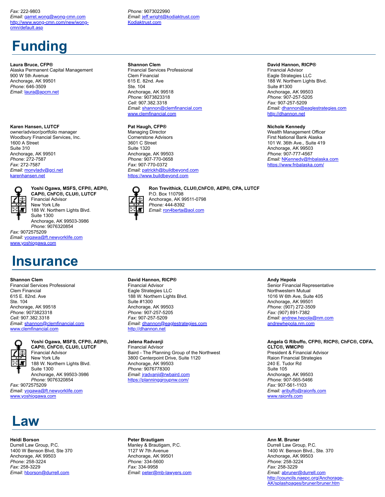#### *Fax:* 222-9803

*Email:* [garret.wong@wong-cmn.com](mailto:garret.wong@wong-cmn.com) [http://www.wong-cmn.com/new/wong](http://www.wong-cmn.com/new/wong-cmn/default.asp)cmn/default.asp

## **Funding**

#### **Laura Bruce, CFP®**

Alaska Permanent Capital Management 900 W 5th Avenue Anchorage, AK 99501 *Phone:* 646-3509 *Email:* [laura@apcm.net](mailto:laura@apcm.net)

#### **Karen Hansen, LUTCF**

owner/advisor/portfolio manager Woodbury Financial Services, Inc. 1600 A Street Suite 310 Anchorage, AK 99501 *Phone:* 272-7587 *Fax:* 272-7587 *Email:* [monylady@gci.net](mailto:monylady@gci.net) [karenhansen.net](https://www.anchorageepc.org/members/directory-print/3/nophotos/karenhansen.net)



**Yoshi Ogawa, MSFS, CFP®, AEP®, CAP®, ChFC®, CLU®, LUTCF** Financial Advisor

New York Life 188 W. Northern Lights Blvd. Suite 1300 Anchorage, AK 99503-3986 *Phone:* 9076320854

*Fax:* 9072575209 *Email:* [yogawa@ft.newyorklife.com](mailto:yogawa@ft.newyorklife.com) [www.yoshiogawa.com](https://www.anchorageepc.org/members/directory-print/3/nophotos/www.yoshiogawa.com)

### **Insurance**

#### **Shannon Clem**

Financial Services Professional Clem Financial 615 E. 82nd. Ave Ste. 104 Anchorage, AK 99518 *Phone:* 9073823318 *Cell:* 907.382.3318 *Email:* [shannon@clemfinancial.com](mailto:shannon@clemfinancial.com) [www.clemfinancial.com](https://www.anchorageepc.org/members/directory-print/3/nophotos/www.clemfinancial.com)



**Yoshi Ogawa, MSFS, CFP®, AEP®, CAP®, ChFC®, CLU®, LUTCF** Financial Advisor New York Life 188 W. Northern Lights Blvd. Suite 1300 Anchorage, AK 99503-3986 *Phone:* 9076320854

*Fax:* 9072575209 *Email:* [yogawa@ft.newyorklife.com](mailto:yogawa@ft.newyorklife.com) [www.yoshiogawa.com](https://www.anchorageepc.org/members/directory-print/3/nophotos/www.yoshiogawa.com)

*Phone:* 9073022990 *Email:* [jeff.wright@kodiaktrust.com](mailto:jeff.wright@kodiaktrust.com) [Kodiaktrust.com](https://www.anchorageepc.org/members/directory-print/3/nophotos/Kodiaktrust.com)

#### **Shannon Clem**

Financial Services Professional Clem Financial 615 E. 82nd. Ave Ste. 104 Anchorage, AK 99518 *Phone:* 9073823318 *Cell:* 907.382.3318 *Email:* [shannon@clemfinancial.com](mailto:shannon@clemfinancial.com) [www.clemfinancial.com](https://www.anchorageepc.org/members/directory-print/3/nophotos/www.clemfinancial.com)

#### **Pat Haugh, CFP®**

Managing Director Cornerstone Advisors 3601 C Street Suite 1320 Anchorage, AK 99503 *Phone:* 907-770-0658 *Fax:* 907-770-0372 *Email:* [patrickh@buildbeyond.com](mailto:patrickh@buildbeyond.com) [https://www.buildbeyond.com](https://www.buildbeyond.com/)



**Ron Trevithick, CLU®,ChFC®, AEP®, CPA, LUTCF** P.O. Box 110798 Anchorage, AK 99511-0798 *Phone:* 444-8392

#### **David Hannon, RICP®**

Financial Advisor Eagle Strategies LLC 188 W. Northern Lights Blvd. Suite #1300 Anchorage, AK 99503 *Phone:* 907-257-5205 *Fax:* 907-257-5209 *Email:* [dhannon@eaglestrategies.com](mailto:dhannon@eaglestrategies.com) [http://dhannon.net](http://dhannon.net/)

### **Jelena Radvanji**

Financial Advisor Baird - The Planning Group of the Northwest 3800 Centerpoint Drive, Suite 1120 Anchorage, AK 99503 *Phone:* 9076778300 *Email:* [jradvanji@rwbaird.com](mailto:jradvanji@rwbaird.com) <https://planninggroupnw.com/>

#### **Andy Hepola**

Senior Financial Representative Northwestern Mutual 1016 W 6th Ave, Suite 405 Anchorage, AK 99501 *Phone:* (907) 272-3509 *Fax:* (907) 891-7382 *Email:* [andrew.hepola@nm.com](mailto:andrew.hepola@nm.com) [andrewhepola.nm.com](https://www.anchorageepc.org/members/directory-print/3/nophotos/andrewhepola.nm.com)

### **Angela G Ribuffo, CFP®, RICP®, ChFC®, CDFA,**

**CLTC®, WMCP®** President & Financial Advisor Raion Financial Strategies 240 E. Tudor Rd Suite 105 Anchorage, AK 99503 *Phone:* 907-565-5466 *Fax:* 907-561-1103 *Email:* [aribuffo@raionfs.com](mailto:aribuffo@raionfs.com) [www.raionfs.com](https://www.anchorageepc.org/members/directory-print/3/nophotos/www.raionfs.com)

### **Law**

#### **Heidi Borson**

Durrell Law Group, P.C. 1400 W Benson Blvd, Ste 370 Anchorage, AK 99503 *Phone:* 258-3224 *Fax:* 258-3229 *Email:* [hborson@durrell.com](mailto:hborson@durrell.com)

**Peter Brautigam** Manley & Brautigam, P.C. 1127 W 7th Avenue Anchorage, AK 99501 *Phone:* 334-5600 *Fax:* 334-9958 *Email:* [peter@mb-lawyers.com](mailto:peter@mb-lawyers.com) **Ann M. Bruner**

Durrell Law Group, P.C. 1400 W. Benson Blvd., Ste. 370 Anchorage, AK 99503 *Phone:* 258-3224 *Fax:* 258-3229 *Email:* [abruner@durrell.com](mailto:abruner@durrell.com) [http://councils.naepc.org/Anchorage-](http://councils.naepc.org/Anchorage-AK/splashpages/bruner/bruner.htm)AK/splashpages/bruner/bruner.htm

#### **David Hannon, RICP®**

Financial Advisor Eagle Strategies LLC 188 W. Northern Lights Blvd. Suite #1300 Anchorage, AK 99503 *Phone:* 907-257-5205 *Fax:* 907-257-5209 *Email:* [dhannon@eaglestrategies.com](mailto:dhannon@eaglestrategies.com) [http://dhannon.net](http://dhannon.net/)

#### **Nichole Kennedy**

Wealth Management Officer First National Bank Alaska 101 W. 36th Ave., Suite 419 Anchorage, AK 99503 *Phone:* 907-777-4567 *Email:* [NKennedy@fnbalaska.com](mailto:NKennedy@fnbalaska.com) <https://www.fnbalaska.com/>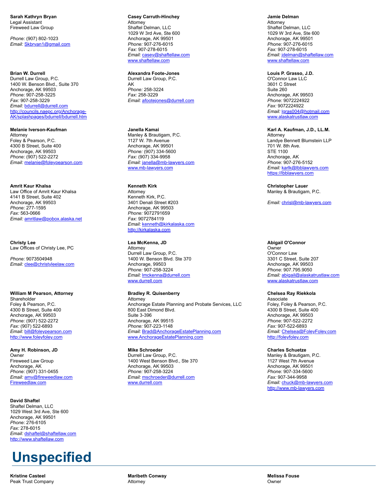**Sarah Kathryn Bryan** Legal Assistant Fireweed Law Group

*Phone:* (907) 802-1023 *Email:* [Skbryan1@gmail.com](mailto:Skbryan1@gmail.com)

#### **Brian W. Durrell**

Durrell Law Group, P.C. 1400 W. Benson Blvd., Suite 370 Anchorage, AK 99503 *Phone:* 907-258-3225 *Fax:* 907-258-3229 *Email:* [bdurrell@durrell.com](mailto:bdurrell@durrell.com) http://councils.naepc.org/Anchorage-[AK/splashpages/bdurrell/bdurrell.htm](http://councils.naepc.org/Anchorage-AK/splashpages/bdurrell/bdurrell.htm)

**Melanie Iverson-Kaufman** Attorney Foley & Pearson, P.C. 4300 B Street, Suite 400 Anchorage, AK 99503 *Phone:* (907) 522-2272 *Email:* [melanie@foleypearson.com](mailto:melanie@foleypearson.com)

**Amrit Kaur Khalsa** Law Office of Amrit Kaur Khalsa 4141 B Street, Suite 402 Anchorage, AK 99503 *Phone:* 277-1595 *Fax:* 563-0666 *Email:* [amritlaw@pobox.alaska.net](mailto:amritlaw@pobox.alaska.net)

**Christy Lee** Law Offices of Christy Lee, PC

*Phone:* 9073504948 *Email:* [clee@christyleelaw.com](mailto:clee@christyleelaw.com)

#### **William M Pearson, Attorney**

Shareholder Foley & Pearson, P.C. 4300 B Street, Suite 400 Anchorage, AK 99503 *Phone:* (907) 522-2272 *Fax:* (907) 522-6893 *Email:* [bill@foleypearson.com](mailto:bill@foleypearson.com) [http://www.foleyfoley.com](http://www.foleyfoley.com/)

**Amy H. Robinson, JD** Owner Fireweed Law Group Anchorage, AK *Phone:* (907) 331-0455 *Email:* [amy@fireweedlaw.com](mailto:amy@fireweedlaw.com) [Fireweedlaw.com](https://www.anchorageepc.org/members/directory-print/3/nophotos/Fireweedlaw.com)

#### **David Shaftel**

Shaftel Delman, LLC 1029 West 3rd Ave, Ste 600 Anchorage, AK 99501 *Phone:* 276-6105 *Fax:* 278-6015 *Email:* [dshaftel@shaftellaw.com](mailto:dshaftel@shaftellaw.com) [http://www.shaftellaw.com](http://www.shaftellaw.com/)

## **Unspecified**

**Kristine Casteel** Peak Trust Company

**Casey Carruth-Hinchey Attorney** Shaftel Delman, LLC 1029 W 3rd Ave, Ste 600 Anchorage, AK 99501 *Phone:* 907-276-6015 *Fax:* 907-278-6015 *Email:* [casey@shaftellaw.com](mailto:casey@shaftellaw.com) [www.shaftellaw.com](https://www.anchorageepc.org/members/directory-print/3/nophotos/www.shaftellaw.com)

**Alexandra Foote-Jones** Durrell Law Group, P.C. AK *Phone:* 258-3224 *Fax:* 258-3229 *Email:* [afootejones@durrell.com](mailto:afootejones@durrell.com)

**Janella Kamai** Manley & Brautigam, P.C. 1127 W. 7th Avenue Anchorage, AK 99501 *Phone:* (907) 334-5600 *Fax:* (907) 334-9958 *Email:* [janella@mb-lawyers.com](mailto:janella@mb-lawyers.com) [www.mb-lawyers.com](https://www.anchorageepc.org/members/directory-print/3/nophotos/www.mb-lawyers.com)

#### **Kenneth Kirk** Attorney

Kenneth Kirk, P.C. 3401 Denali Street #203 Anchorage, AK 99503 *Phone:* 9072791659 *Fax:* 9072784119 *Email:* [kenneth@kirkalaska.com](mailto:kenneth@kirkalaska.com) [http://kirkalaska.com](http://kirkalaska.com/)

#### **Lea McKenna, JD**

Attorney Durrell Law Group, P.C. 1400 W. Benson Blvd. Ste 370 Anchorage, 99503 *Phone:* 907-258-3224 *Email:* [lmckenna@durrell.com](mailto:lmckenna@durrell.com) [www.durrell.com](https://www.anchorageepc.org/members/directory-print/3/nophotos/www.durrell.com)

#### **Bradley R. Quisenberry**

Attorney Anchorage Estate Planning and Probate Services, LLC 800 East Dimond Blvd. Suite 3-396 Anchorage, AK 99515 *Phone:* 907-223-1148 *Email:* [Brad@AnchorageEstatePlanning.com](mailto:Brad@AnchorageEstatePlanning.com) [www.AnchorageEstatePlanning.com](https://www.anchorageepc.org/members/directory-print/3/nophotos/www.AnchorageEstatePlanning.com)

**Mike Schroeder** Durrell Law Group, P.C. 1400 West Benson Blvd., Ste 370 Anchorage, AK 99503 *Phone:* 907-258-3224 *Email:* [mschroeder@durrell.com](mailto:mschroeder@durrell.com) [www.durrell.com](https://www.anchorageepc.org/members/directory-print/3/nophotos/www.durrell.com)

**Jamie Delman** Attorney Shaftel Delman, LLC 1029 W 3rd Ave, Ste 600 Anchorage, AK 99501 *Phone:* 907-276-6015 *Fax:* 907-278-6015 *Email:* [jdelman@shaftellaw.com](mailto:jdelman@shaftellaw.com) [www.shaftellaw.com](https://www.anchorageepc.org/members/directory-print/3/nophotos/www.shaftellaw.com)

#### **Louis P. Grasso, J.D.**

O'Connor Law LLC 3601 C Street Suite 260 Anchorage, AK 99503 *Phone:* 9072224922 *Fax:* 9072224922 *Email:* [lgras004@hotmail.com](mailto:lgras004@hotmail.com) [www.alaskatrustlaw.com](https://www.anchorageepc.org/members/directory-print/3/nophotos/www.alaskatrustlaw.com)

#### **Karl A. Kaufman, J.D., LL.M.**

Attorney Landye Bennett Blumstein LLP 701 W. 8th Ave. STE 1100 Anchorage, AK *Phone:* 907-276-5152 *Email:* [karlk@lbblawyers.com](mailto:karlk@lbblawyers.com) [https://lbblawyers.com](https://lbblawyers.com/)

**Christopher Lauer** Manley & Brautigam, P.C.

*Email:* [chrisl@mb-lawyers.com](mailto:chrisl@mb-lawyers.com)

#### **Abigail O'Connor**

**Owner** O'Connor Law 3301 C Street, Suite 207 Anchorage, AK 99503 *Phone:* 907.795.9050 *Email:* [abigail@alaskatrustlaw.com](mailto:abigail@alaskatrustlaw.com) [www.alaskatrustlaw.com](https://www.anchorageepc.org/members/directory-print/3/nophotos/www.alaskatrustlaw.com)

#### **Chelsea Ray Riekkola**

Associate Foley, Foley & Pearson, P.C. 4300 B Street, Suite 400 Anchorage, AK 99503 *Phone:* 907-522-2272 *Fax:* 907-522-6893 *Email:* [Chelsea@FoleyFoley.com](mailto:Chelsea@FoleyFoley.com) [http://foleyfoley.com](http://foleyfoley.com/)

#### **Charles Schuetze**

Manley & Brautigam, P.C. 1127 West 7th Avenue Anchorage, AK 99501 *Phone:* 907-334-5600 *Fax:* 907-344-9958 *Email:* [chuck@mb-lawyers.com](mailto:chuck@mb-lawyers.com) [http://www.mb-lawyers.com](http://www.mb-lawyers.com/)

**Melissa Fouse Owner**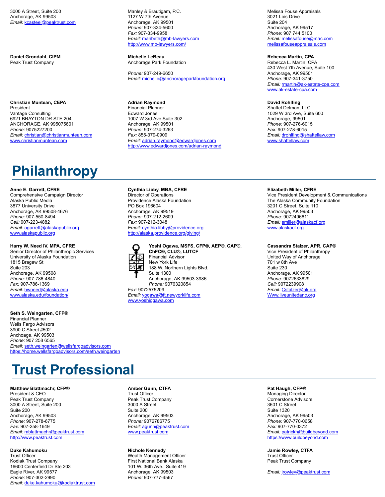3000 A Street, Suite 200 Anchorage, AK 99503 *Email:* [kcasteel@peaktrust.com](mailto:kcasteel@peaktrust.com)

**Daniel Grondahl, CIPM** Peak Trust Company

**Christian Muntean, CEPA** President Vantage Consulting 6921 BRAYTON DR STE 204 ANCHORAGE, AK 995075601 *Phone:* 9075227200 *Email:* [christian@christianmuntean.com](mailto:christian@christianmuntean.com) [www.christianmuntean.com](https://www.anchorageepc.org/members/directory-print/3/nophotos/www.christianmuntean.com)

## **Philanthropy**

**Anne E. Garrett, CFRE**

Comprehensive Campaign Director Alaska Public Media 3877 University Drive Anchorage, AK 99508-4676 *Phone:* 907-550-8494 *Cell:* 907-223-4882 *Email:* [agarrett@alaskapublic.org](mailto:agarrett@alaskapublic.org) [www.alaskapublic.org](https://www.anchorageepc.org/members/directory-print/3/nophotos/www.alaskapublic.org)

#### **Harry W. Need IV, MPA, CFRE**

Senior Director of Philanthropic Services University of Alaska Foundation 1815 Bragaw St Suite 203 Anchorage, AK 99508 *Phone:* 907-786-4840 *Fax:* 907-786-1369 *Email:* [hwneed@alaska.edu](mailto:hwneed@alaska.edu) [www.alaska.edu/foundation/](https://www.anchorageepc.org/members/directory-print/3/nophotos/www.alaska.edu/foundation/)

**Seth S. Weingarten, CFP®** Financial Planner Wells Fargo Advisors 3900 C Street #502 Anchoage, AK 99503 *Phone:* 907 258 6565 *Email:* [seth.weingarten@wellsfargoadvisors.com](mailto:seth.weingarten@wellsfargoadvisors.com) <https://home.wellsfargoadvisors.com/seth.weingarten>

## **Trust Professional**

#### **Matthew Blattmachr, CFP®**

President & CEO Peak Trust Company 3000 A Street, Suite 200 Suite 200 Anchorage, AK 99503 *Phone:* 907-278-6775 *Fax:* 907-258-1649 *Email:* [mblattmachr@peaktrust.com](mailto:mblattmachr@peaktrust.com) [http://www.peaktrust.com](http://www.peaktrust.com/)

#### **Duke Kahumoku**

Trust Officer Kodiak Trust Company 16600 Centerfield Dr Ste 203 Eagle River, AK 99577 *Phone:* 907-302-2990 *Email:* [duke.kahumoku@kodiaktrust.com](mailto:duke.kahumoku@kodiaktrust.com) Manley & Brautigam, P.C. 1127 W 7th Avenue Anchorage, AK 99501 *Phone:* 907-334-5600 *Fax:* 907-334-9958 *Email:* [maribeth@mb-lawyers.com](mailto:maribeth@mb-lawyers.com) <http://www.mb-lawyers.com/>

**Michelle LeBeau** Anchorage Park Foundation

*Phone:* 907-249-6650 *Email:* [michelle@anchorageparkfoundation.org](mailto:michelle@anchorageparkfoundation.org)

**Adrian Raymond** Financial Planner Edward Jones 1007 W 3rd Ave Suite 302 Anchorage, AK 99501 *Phone:* 907-274-3263 *Fax:* 855-379-0909 *Email:* [adrian.raymond@edwardjones.com](mailto:adrian.raymond@edwardjones.com) <http://www.edwardjones.com/adrian-raymond>

**Cynthia Libby, MBA, CFRE** Director of Operations Providence Alaska Foundation PO Box 196604 Anchorage, AK 99519 *Phone:* 907-212-2609 *Fax:* 907-212-3048 *Email:* [cynthia.libby@providence.org](mailto:cynthia.libby@providence.org) <http://alaska.providence.org/giving/>



**Yoshi Ogawa, MSFS, CFP®, AEP®, CAP®, ChFC®, CLU®, LUTCF** Financial Advisor New York Life 188 W. Northern Lights Blvd. Suite 1300 Anchorage, AK 99503-3986 *Phone:* 9076320854

*Fax:* 9072575209 *Email:* [yogawa@ft.newyorklife.com](mailto:yogawa@ft.newyorklife.com) [www.yoshiogawa.com](https://www.anchorageepc.org/members/directory-print/3/nophotos/www.yoshiogawa.com)

Melissa Fouse Appraisals 3021 Lois Drive Suite 204 Anchorage, AK 99517 *Phone:* 907 744 5100 *Email:* [melissafouse@mac.com](mailto:melissafouse@mac.com) [melissafouseappraisals.com](https://www.anchorageepc.org/members/directory-print/3/nophotos/melissafouseappraisals.com)

#### **Rebecca Martin, CPA**

Rebecca L. Martin, CPA 430 West 7th Avenue, Suite 100 Anchorage, AK 99501 *Phone:* 907-341-3750 *Email:* [rmartin@ak-estate-cpa.com](mailto:rmartin@ak-estate-cpa.com) [www.ak-estate-cpa.com](https://www.anchorageepc.org/members/directory-print/3/nophotos/www.ak-estate-cpa.com)

#### **David Rohlfing**

Shaftel Delman, LLC 1029 W 3rd Ave, Suite 600 Anchorage, 99501 *Phone:* 907-276-6015 *Fax:* 907-278-6015 *Email:* [drohlfing@shaftellaw.com](mailto:drohlfing@shaftellaw.com) [www.shaftellaw.com](https://www.anchorageepc.org/members/directory-print/3/nophotos/www.shaftellaw.com)

#### **Elizabeth Miller, CFRE**

Vice President Development & Communications The Alaska Community Foundation 3201 C Street, Suite 110 Anchorage, AK 99503 *Phone:* 9072496611 *Email:* [emiller@alaskacf.org](mailto:emiller@alaskacf.org) [www.alaskacf.org](https://www.anchorageepc.org/members/directory-print/3/nophotos/www.alaskacf.org)

#### **Cassandra Stalzer, APR, CAP®**

Vice President of Philanthropy United Way of Anchorage 701 w 8th Ave Suite 230 Anchorage, AK 99501 *Phone:* 9072633829 *Cell:* 9072239908 *Email:* [Cstalzer@ak.org](mailto:Cstalzer@ak.org) [Www.liveunitedanc.org](https://www.anchorageepc.org/members/directory-print/3/nophotos/Www.liveunitedanc.org)

**Amber Gunn, CTFA**

Trust Officer Peak Trust Company 3000 A Street Suite 200 Anchorage, AK 99503 *Phone:* 9072786775 *Email:* [agunn@peaktrust.com](mailto:agunn@peaktrust.com) [www.peaktrust.com](https://www.anchorageepc.org/members/directory-print/3/nophotos/www.peaktrust.com)

**Nichole Kennedy**

Wealth Management Officer First National Bank Alaska 101 W. 36th Ave., Suite 419 Anchorage, AK 99503 *Phone:* 907-777-4567

#### **Pat Haugh, CFP®**

Managing Director Cornerstone Advisors 3601 C Street Suite 1320 Anchorage, AK 99503 *Phone:* 907-770-0658 *Fax:* 907-770-0372 *Email:* [patrickh@buildbeyond.com](mailto:patrickh@buildbeyond.com) [https://www.buildbeyond.com](https://www.buildbeyond.com/)

**Jamie Rowley, CTFA** Trust Officer Peak Trust Company

*Email:* [jrowley@peaktrust.com](mailto:jrowley@peaktrust.com)